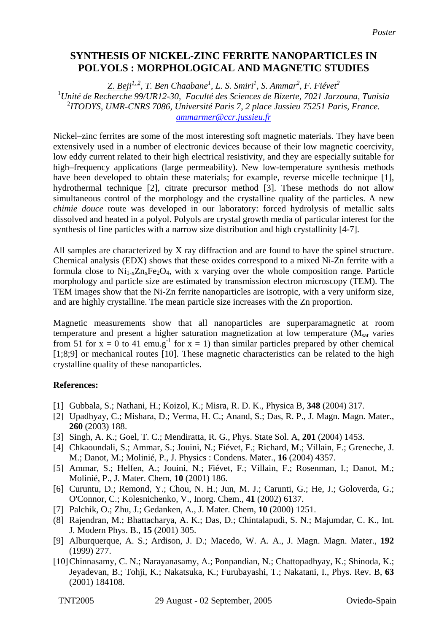## **SYNTHESIS OF NICKEL-ZINC FERRITE NANOPARTICLES IN POLYOLS : MORPHOLOGICAL AND MAGNETIC STUDIES**

*Z. Beji1, 2, T. Ben Chaabane1 , L. S. Smiri<sup>1</sup> , S. Ammar<sup>2</sup> , F. Fiévet<sup>2</sup>* 1 *Unité de Recherche 99/UR12-30, Faculté des Sciences de Bizerte, 7021 Jarzouna, Tunisia*  2 *ITODYS, UMR-CNRS 7086, Université Paris 7, 2 place Jussieu 75251 Paris, France. [ammarmer@ccr.jussieu.fr](mailto:Contact@E-mail)*

Nickel–zinc ferrites are some of the most interesting soft magnetic materials. They have been extensively used in a number of electronic devices because of their low magnetic coercivity, low eddy current related to their high electrical resistivity, and they are especially suitable for high–frequency applications (large permeability). New low-temperature synthesis methods have been developed to obtain these materials; for example, reverse micelle technique [1], hydrothermal technique [2], citrate precursor method [3]. These methods do not allow simultaneous control of the morphology and the crystalline quality of the particles. A new *chimie douce* route was developed in our laboratory: forced hydrolysis of metallic salts dissolved and heated in a polyol. Polyols are crystal growth media of particular interest for the synthesis of fine particles with a narrow size distribution and high crystallinity [4-7].

All samples are characterized by X ray diffraction and are found to have the spinel structure. Chemical analysis (EDX) shows that these oxides correspond to a mixed Ni-Zn ferrite with a formula close to  $Ni_{1-x}Zn_xFe_2O_4$ , with x varying over the whole composition range. Particle morphology and particle size are estimated by transmission electron microscopy (TEM). The TEM images show that the Ni-Zn ferrite nanoparticles are isotropic, with a very uniform size, and are highly crystalline. The mean particle size increases with the Zn proportion.

Magnetic measurements show that all nanoparticles are superparamagnetic at room temperature and present a higher saturation magnetization at low temperature  $(M<sub>sat</sub>$  varies from 51 for  $x = 0$  to 41 emu.g<sup>-1</sup> for  $x = 1$ ) than similar particles prepared by other chemical  $[1;8;9]$  or mechanical routes  $[10]$ . These magnetic characteristics can be related to the high crystalline quality of these nanoparticles.

## **References:**

- [1] Gubbala, S.; Nathani, H.; Koizol, K.; Misra, R. D. K., Physica B, **348** (2004) 317.
- [2] Upadhyay, C.; Mishara, D.; Verma, H. C.; Anand, S.; Das, R. P., J. Magn. Magn. Mater., **260** (2003) 188.
- [3] Singh, A. K.; Goel, T. C.; Mendiratta, R. G., Phys. State Sol. A, **201** (2004) 1453.
- [4] Chkaoundali, S.; Ammar, S.; Jouini, N.; Fiévet, F.; Richard, M.; Villain, F.; Greneche, J. M.; Danot, M.; Molinié, P., J. Physics : Condens. Mater., **16** (2004) 4357.
- [5] Ammar, S.; Helfen, A.; Jouini, N.; Fiévet, F.; Villain, F.; Rosenman, I.; Danot, M.; Molinié, P., J. Mater. Chem, **10** (2001) 186.
- [6] Curuntu, D.; Remond, Y.; Chou, N. H.; Jun, M. J.; Carunti, G.; He, J.; Goloverda, G.; O'Connor, C.; Kolesnichenko, V., Inorg. Chem., **41** (2002) 6137.
- [7] Palchik, O.; Zhu, J.; Gedanken, A., J. Mater. Chem, **10** (2000) 1251.
- (8] Rajendran, M.; Bhattacharya, A. K.; Das, D.; Chintalapudi, S. N.; Majumdar, C. K., Int. J. Modern Phys. B., **15** (2001) 305.
- [9] Alburquerque, A. S.; Ardison, J. D.; Macedo, W. A. A., J. Magn. Magn. Mater., **192**  (1999) 277.
- [10] Chinnasamy, C. N.; Narayanasamy, A.; Ponpandian, N.; Chattopadhyay, K.; Shinoda, K.; Jeyadevan, B.; Tohji, K.; Nakatsuka, K.; Furubayashi, T.; Nakatani, I., Phys. Rev. B, **63**  (2001) 184108.